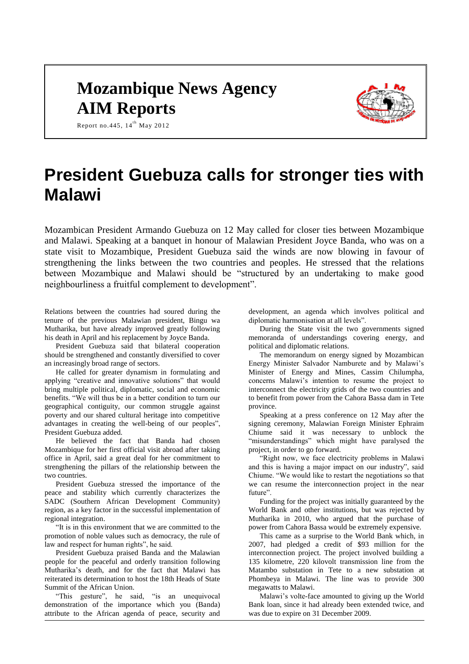# **Mozambique News Agency AIM Reports**



Report no.445,  $14^{th}$  May 2012

## **President Guebuza calls for stronger ties with Malawi**

Mozambican President Armando Guebuza on 12 May called for closer ties between Mozambique and Malawi. Speaking at a banquet in honour of Malawian President Joyce Banda, who was on a state visit to Mozambique, President Guebuza said the winds are now blowing in favour of strengthening the links between the two countries and peoples. He stressed that the relations between Mozambique and Malawi should be "structured by an undertaking to make good neighbourliness a fruitful complement to development".

Relations between the countries had soured during the tenure of the previous Malawian president, Bingu wa Mutharika, but have already improved greatly following his death in April and his replacement by Joyce Banda.

President Guebuza said that bilateral cooperation should be strengthened and constantly diversified to cover an increasingly broad range of sectors.

He called for greater dynamism in formulating and applying "creative and innovative solutions" that would bring multiple political, diplomatic, social and economic benefits. "We will thus be in a better condition to turn our geographical contiguity, our common struggle against poverty and our shared cultural heritage into competitive advantages in creating the well-being of our peoples", President Guebuza added.

He believed the fact that Banda had chosen Mozambique for her first official visit abroad after taking office in April, said a great deal for her commitment to strengthening the pillars of the relationship between the two countries.

President Guebuza stressed the importance of the peace and stability which currently characterizes the SADC (Southern African Development Community) region, as a key factor in the successful implementation of regional integration.

"It is in this environment that we are committed to the promotion of noble values such as democracy, the rule of law and respect for human rights", he said.

President Guebuza praised Banda and the Malawian people for the peaceful and orderly transition following Mutharika's death, and for the fact that Malawi has reiterated its determination to host the 18th Heads of State Summit of the African Union.

"This gesture", he said, "is an unequivocal demonstration of the importance which you (Banda) attribute to the African agenda of peace, security and

development, an agenda which involves political and diplomatic harmonisation at all levels".

During the State visit the two governments signed memoranda of understandings covering energy, and political and diplomatic relations.

The memorandum on energy signed by Mozambican Energy Minister Salvador Namburete and by Malawi's Minister of Energy and Mines, Cassim Chilumpha, concerns Malawi's intention to resume the project to interconnect the electricity grids of the two countries and to benefit from power from the Cahora Bassa dam in Tete province.

Speaking at a press conference on 12 May after the signing ceremony, Malawian Foreign Minister Ephraim Chiume said it was necessary to unblock the "misunderstandings" which might have paralysed the project, in order to go forward.

"Right now, we face electricity problems in Malawi and this is having a major impact on our industry", said Chiume. "We would like to restart the negotiations so that we can resume the interconnection project in the near future".

Funding for the project was initially guaranteed by the World Bank and other institutions, but was rejected by Mutharika in 2010, who argued that the purchase of power from Cahora Bassa would be extremely expensive.

This came as a surprise to the World Bank which, in 2007, had pledged a credit of \$93 million for the interconnection project. The project involved building a 135 kilometre, 220 kilovolt transmission line from the Matambo substation in Tete to a new substation at Phombeya in Malawi. The line was to provide 300 megawatts to Malawi.

Malawi's volte-face amounted to giving up the World Bank loan, since it had already been extended twice, and was due to expire on 31 December 2009.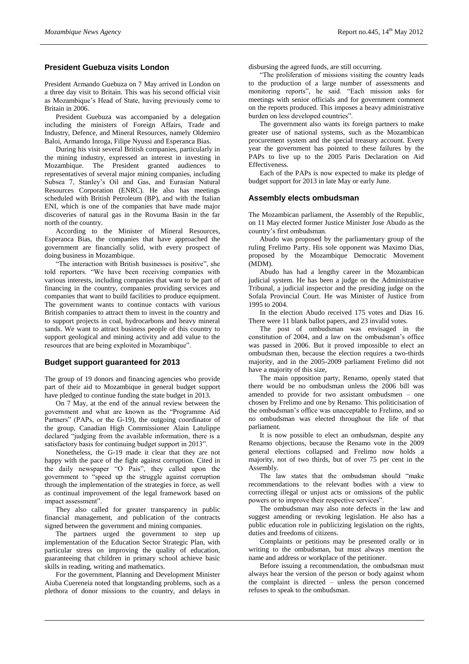## **President Guebuza visits London**

President Armando Guebuza on 7 May arrived in London on a three day visit to Britain. This was his second official visit as Mozambique's Head of State, having previously come to Britain in 2006.

President Guebuza was accompanied by a delegation including the ministers of Foreign Affairs, Trade and Industry, Defence, and Mineral Resources, namely Oldemiro Baloi, Armando Inroga, Filipe Nyussi and Esperanca Bias.

During his visit several British companies, particularly in the mining industry, expressed an interest in investing in Mozambique. The President granted audiences to representatives of several major mining companies, including Subsea 7, Stanley's Oil and Gas, and Eurasian Natural Resources Corporation (ENRC). He also has meetings scheduled with British Petroleum (BP), and with the Italian ENI, which is one of the companies that have made major discoveries of natural gas in the Rovuma Basin in the far north of the country.

According to the Minister of Mineral Resources, Esperanca Bias, the companies that have approached the government are financially solid, with every prospect of doing business in Mozambique.

"The interaction with British businesses is positive", she told reporters. "We have been receiving companies with various interests, including companies that want to be part of financing in the country, companies providing services and companies that want to build facilities to produce equipment. The government wants to continue contacts with various British companies to attract them to invest in the country and to support projects in coal, hydrocarbons and heavy mineral sands. We want to attract business people of this country to support geological and mining activity and add value to the resources that are being exploited in Mozambique".

## **Budget support guaranteed for 2013**

The group of 19 donors and financing agencies who provide part of their aid to Mozambique in general budget support have pledged to continue funding the state budget in 2013.

On 7 May, at the end of the annual review between the government and what are known as the "Programme Aid Partners" (PAPs, or the G-19), the outgoing coordinator of the group, Canadian High Commissioner Alain Latulippe declared "judging from the available information, there is a satisfactory basis for continuing budget support in 2013".

Nonetheless, the G-19 made it clear that they are not happy with the pace of the fight against corruption. Cited in the daily newspaper "O Pais", they called upon the government to "speed up the struggle against corruption through the implementation of the strategies in force, as well as continual improvement of the legal framework based on impact assessment".

They also called for greater transparency in public financial management, and publication of the contracts signed between the government and mining companies.

The partners urged the government to step up implementation of the Education Sector Strategic Plan, with particular stress on improving the quality of education, guaranteeing that children in primary school achieve basic skills in reading, writing and mathematics.

For the government, Planning and Development Minister Aiuba Cuereneia noted that longstanding problems, such as a plethora of donor missions to the country, and delays in

disbursing the agreed funds, are still occurring.

"The proliferation of missions visiting the country leads to the production of a large number of assessments and monitoring reports", he said. "Each mission asks for meetings with senior officials and for government comment on the reports produced. This imposes a heavy administrative burden on less developed countries".

The government also wants its foreign partners to make greater use of national systems, such as the Mozambican procurement system and the special treasury account. Every year the government has pointed to these failures by the PAPs to live up to the 2005 Paris Declaration on Aid Effectiveness.

Each of the PAPs is now expected to make its pledge of budget support for 2013 in late May or early June.

#### **Assembly elects ombudsman**

The Mozambican parliament, the Assembly of the Republic, on 11 May elected former Justice Minister Jose Abudo as the country's first ombudsman.

Abudo was proposed by the parliamentary group of the ruling Frelimo Party. His sole opponent was Maximo Dias, proposed by the Mozambique Democratic Movement (MDM).

Abudo has had a lengthy career in the Mozambican judicial system. He has been a judge on the Administrative Tribunal, a judicial inspector and the presiding judge on the Sofala Provincial Court. He was Minister of Justice from 1995 to 2004.

In the election Abudo received 175 votes and Dias 16. There were 11 blank ballot papers, and 23 invalid votes.

The post of ombudsman was envisaged in the constitution of 2004, and a law on the ombudsman's office was passed in 2006. But it proved impossible to elect an ombudsman then, because the election requires a two-thirds majority, and in the 2005-2009 parliament Frelimo did not have a majority of this size,

The main opposition party, Renamo, openly stated that there would be no ombudsman unless the 2006 bill was amended to provide for two assistant ombudsmen – one chosen by Frelimo and one by Renamo. This politicisation of the ombudsman's office was unacceptable to Frelimo, and so no ombudsman was elected throughout the life of that parliament.

It is now possible to elect an ombudsman, despite any Renamo objections, because the Renamo vote in the 2009 general elections collapsed and Frelimo now holds a majority, not of two thirds, but of over 75 per cent in the Assembly.

The law states that the ombudsman should "make recommendations to the relevant bodies with a view to correcting illegal or unjust acts or omissions of the public powers or to improve their respective services".

The ombudsman may also note defects in the law and suggest amending or revoking legislation. He also has a public education role in publicizing legislation on the rights, duties and freedoms of citizens.

Complaints or petitions may be presented orally or in writing to the ombudsman, but must always mention the name and address or workplace of the petitioner.

Before issuing a recommendation, the ombudsman must always hear the version of the person or body against whom the complaint is directed – unless the person concerned refuses to speak to the ombudsman.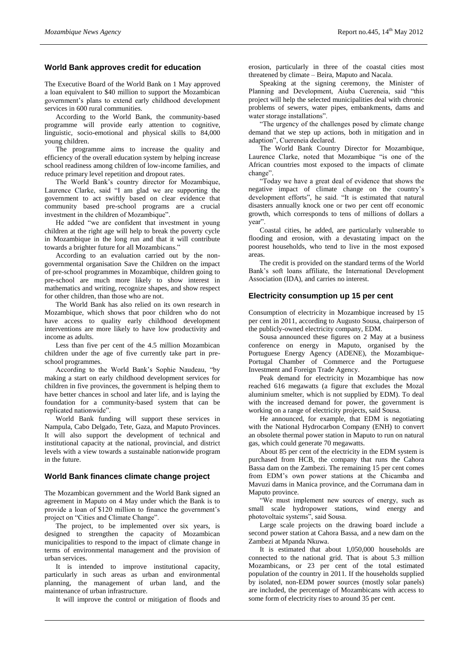## **World Bank approves credit for education**

The Executive Board of the World Bank on 1 May approved a loan equivalent to \$40 million to support the Mozambican government's plans to extend early childhood development services in 600 rural communities.

According to the World Bank, the community-based programme will provide early attention to cognitive, linguistic, socio-emotional and physical skills to 84,000 young children.

The programme aims to increase the quality and efficiency of the overall education system by helping increase school readiness among children of low-income families, and reduce primary level repetition and dropout rates.

The World Bank's country director for Mozambique, Laurence Clarke, said "I am glad we are supporting the government to act swiftly based on clear evidence that community based pre-school programs are a crucial investment in the children of Mozambique".

He added "we are confident that investment in young children at the right age will help to break the poverty cycle in Mozambique in the long run and that it will contribute towards a brighter future for all Mozambicans."

According to an evaluation carried out by the nongovernmental organisation Save the Children on the impact of pre-school programmes in Mozambique, children going to pre-school are much more likely to show interest in mathematics and writing, recognize shapes, and show respect for other children, than those who are not.

The World Bank has also relied on its own research in Mozambique, which shows that poor children who do not have access to quality early childhood development interventions are more likely to have low productivity and income as adults.

Less than five per cent of the 4.5 million Mozambican children under the age of five currently take part in preschool programmes.

According to the World Bank's Sophie Naudeau, "by making a start on early childhood development services for children in five provinces, the government is helping them to have better chances in school and later life, and is laying the foundation for a community-based system that can be replicated nationwide".

World Bank funding will support these services in Nampula, Cabo Delgado, Tete, Gaza, and Maputo Provinces. It will also support the development of technical and institutional capacity at the national, provincial, and district levels with a view towards a sustainable nationwide program in the future.

#### **World Bank finances climate change project**

The Mozambican government and the World Bank signed an agreement in Maputo on 4 May under which the Bank is to provide a loan of \$120 million to finance the government's project on "Cities and Climate Change".

The project, to be implemented over six years, is designed to strengthen the capacity of Mozambican municipalities to respond to the impact of climate change in terms of environmental management and the provision of urban services.

It is intended to improve institutional capacity, particularly in such areas as urban and environmental planning, the management of urban land, and the maintenance of urban infrastructure.

It will improve the control or mitigation of floods and

erosion, particularly in three of the coastal cities most threatened by climate – Beira, Maputo and Nacala.

Speaking at the signing ceremony, the Minister of Planning and Development, Aiuba Cuereneia, said "this project will help the selected municipalities deal with chronic problems of sewers, water pipes, embankments, dams and water storage installations".

"The urgency of the challenges posed by climate change demand that we step up actions, both in mitigation and in adaption", Cuereneia declared.

The World Bank Country Director for Mozambique, Laurence Clarke, noted that Mozambique "is one of the African countries most exposed to the impacts of climate change".

"Today we have a great deal of evidence that shows the negative impact of climate change on the country's development efforts", he said. "It is estimated that natural disasters annually knock one or two per cent off economic growth, which corresponds to tens of millions of dollars a year".

Coastal cities, he added, are particularly vulnerable to flooding and erosion, with a devastating impact on the poorest households, who tend to live in the most exposed areas.

The credit is provided on the standard terms of the World Bank's soft loans affiliate, the International Development Association (IDA), and carries no interest.

#### **Electricity consumption up 15 per cent**

Consumption of electricity in Mozambique increased by 15 per cent in 2011, according to Augusto Sousa, chairperson of the publicly-owned electricity company, EDM.

Sousa announced these figures on 2 May at a business conference on energy in Maputo, organised by the Portuguese Energy Agency (ADENE), the Mozambique-Portugal Chamber of Commerce and the Portuguese Investment and Foreign Trade Agency.

Peak demand for electricity in Mozambique has now reached 616 megawatts (a figure that excludes the Mozal aluminium smelter, which is not supplied by EDM). To deal with the increased demand for power, the government is working on a range of electricity projects, said Sousa.

He announced, for example, that EDM is negotiating with the National Hydrocarbon Company (ENH) to convert an obsolete thermal power station in Maputo to run on natural gas, which could generate 70 megawatts.

About 85 per cent of the electricity in the EDM system is purchased from HCB, the company that runs the Cahora Bassa dam on the Zambezi. The remaining 15 per cent comes from EDM's own power stations at the Chicamba and Mavuzi dams in Manica province, and the Corrumana dam in Maputo province.

"We must implement new sources of energy, such as small scale hydropower stations, wind energy and photovoltaic systems", said Sousa.

Large scale projects on the drawing board include a second power station at Cahora Bassa, and a new dam on the Zambezi at Mpanda Nkuwa.

It is estimated that about 1,050,000 households are connected to the national grid. That is about 5.3 million Mozambicans, or 23 per cent of the total estimated population of the country in 2011. If the households supplied by isolated, non-EDM power sources (mostly solar panels) are included, the percentage of Mozambicans with access to some form of electricity rises to around 35 per cent.